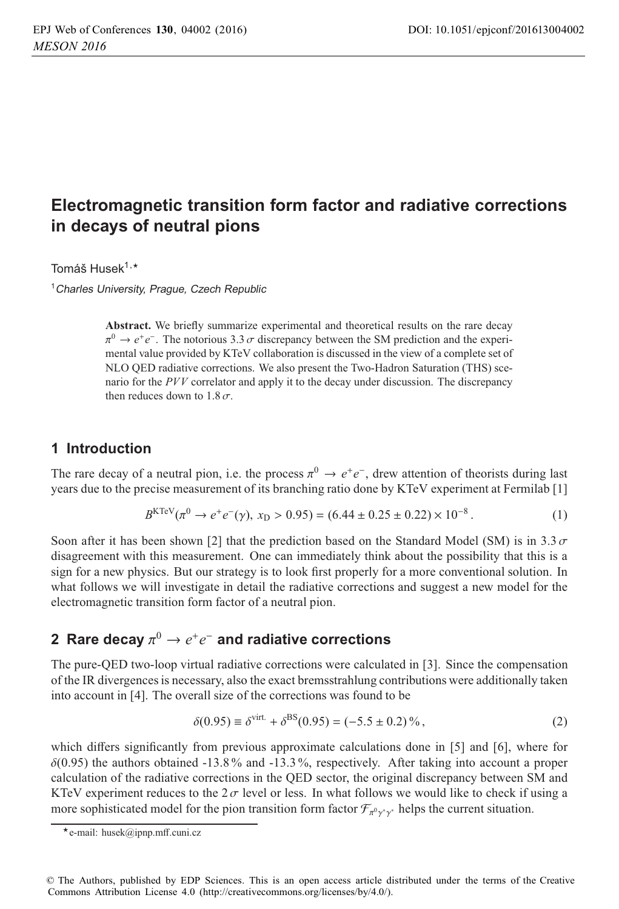# **Electromagnetic transition form factor and radiative corrections in decays of neutral pions**

Tomáš Husek<sup>1,</sup>\*<br>.

<sup>1</sup> Charles University, Prague, Czech Republic

**Abstract.** We briefly summarize experimental and theoretical results on the rare decay  $\pi^0 \to e^+e^-$ . The notorious 3.3  $\sigma$  discrepancy between the SM prediction and the experimental value provided by KTeV collaboration is discussed in the view of a complete set of NLO QED radiative corrections. We also present the Two-Hadron Saturation (THS) scenario for the *PVV* correlator and apply it to the decay under discussion. The discrepancy then reduces down to  $1.8\,\sigma$ .

#### **1 Introduction**

The rare decay of a neutral pion, i.e. the process  $\pi^0 \to e^+e^-$ , drew attention of theorists during last years due to the precise measurement of its branching ratio done by KTeV experiment at Fermilab [1]

$$
B^{KTeV}(\pi^0 \to e^+e^-(\gamma), x_D > 0.95) = (6.44 \pm 0.25 \pm 0.22) \times 10^{-8}.
$$
 (1)

Soon after it has been shown [2] that the prediction based on the Standard Model (SM) is in 3.3 $\sigma$ disagreement with this measurement. One can immediately think about the possibility that this is a sign for a new physics. But our strategy is to look first properly for a more conventional solution. In what follows we will investigate in detail the radiative corrections and suggest a new model for the electromagnetic transition form factor of a neutral pion.

## **2 Rare decay**  $\pi^0 \rightarrow e^+e^-$  and radiative corrections

The pure-QED two-loop virtual radiative corrections were calculated in [3]. Since the compensation of the IR divergences is necessary, also the exact bremsstrahlung contributions were additionally taken into account in [4]. The overall size of the corrections was found to be

$$
\delta(0.95) \equiv \delta^{\text{virt.}} + \delta^{\text{BS}}(0.95) = (-5.5 \pm 0.2)\,\%,\tag{2}
$$

which differs significantly from previous approximate calculations done in [5] and [6], where for  $\delta(0.95)$  the authors obtained -13.8% and -13.3%, respectively. After taking into account a proper calculation of the radiative corrections in the QED sector, the original discrepancy between SM and KTeV experiment reduces to the  $2\sigma$  level or less. In what follows we would like to check if using a more sophisticated model for the pion transition form factor  $\mathcal{F}_{\pi^0 \gamma^* \gamma^*}$  helps the current situation.

<sup>-</sup>e-mail: husek@ipnp.mff.cuni.cz

<sup>©</sup> The Authors, published by EDP Sciences. This is an open access article distributed under the terms of the Creative Commons Attribution License 4.0 (http://creativecommons.org/licenses/by/4.0/).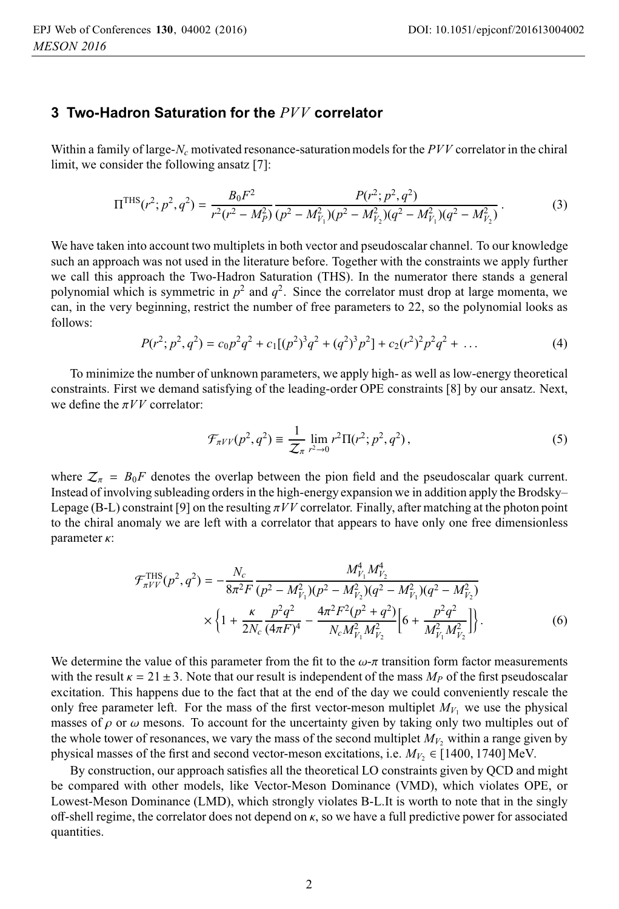#### **3 Two-Hadron Saturation for the** *PVV* **correlator**

Within a family of large-*Nc* motivated resonance-saturation models for the *PVV* correlator in the chiral limit, we consider the following ansatz [7]:

$$
\Pi^{\text{THS}}(r^2; p^2, q^2) = \frac{B_0 F^2}{r^2 (r^2 - M_P^2)} \frac{P(r^2; p^2, q^2)}{(p^2 - M_{V_1}^2)(p^2 - M_{V_2}^2)(q^2 - M_{V_1}^2)(q^2 - M_{V_2}^2)}.
$$
(3)

We have taken into account two multiplets in both vector and pseudoscalar channel. To our knowledge such an approach was not used in the literature before. Together with the constraints we apply further we call this approach the Two-Hadron Saturation (THS). In the numerator there stands a general polynomial which is symmetric in  $p^2$  and  $q^2$ . Since the correlator must drop at large momenta, we can, in the very beginning, restrict the number of free parameters to 22, so the polynomial looks as follows:

$$
P(r^2; p^2, q^2) = c_0 p^2 q^2 + c_1 [(p^2)^3 q^2 + (q^2)^3 p^2] + c_2 (r^2)^2 p^2 q^2 + \dots
$$
 (4)

To minimize the number of unknown parameters, we apply high- as well as low-energy theoretical constraints. First we demand satisfying of the leading-order OPE constraints [8] by our ansatz. Next, we define the  $\pi VV$  correlator:

$$
\mathcal{F}_{\pi V V}(p^2, q^2) \equiv \frac{1}{Z_{\pi}} \lim_{r^2 \to 0} r^2 \Pi(r^2; p^2, q^2), \qquad (5)
$$

where  $Z_{\pi} = B_0 F$  denotes the overlap between the pion field and the pseudoscalar quark current. Instead of involving subleading orders in the high-energy expansion we in addition apply the Brodsky– Lepage (B-L) constraint [9] on the resulting  $\pi VV$  correlator. Finally, after matching at the photon point to the chiral anomaly we are left with a correlator that appears to have only one free dimensionless parameter κ:

$$
\mathcal{F}_{\pi V V}^{\text{THS}}(p^2, q^2) = -\frac{N_c}{8\pi^2 F} \frac{M_{V_1}^4 M_{V_2}^4}{(p^2 - M_{V_1}^2)(p^2 - M_{V_2}^2)(q^2 - M_{V_1}^2)(q^2 - M_{V_2}^2)} \times \left\{1 + \frac{\kappa}{2N_c} \frac{p^2 q^2}{(4\pi F)^4} - \frac{4\pi^2 F^2 (p^2 + q^2)}{N_c M_{V_1}^2 M_{V_2}^2} \right\} \times \left\{6\right\}
$$

We determine the value of this parameter from the fit to the  $\omega$ -π transition form factor measurements with the result  $\kappa = 21 \pm 3$ . Note that our result is independent of the mass  $M_p$  of the first pseudoscalar excitation. This happens due to the fact that at the end of the day we could conveniently rescale the only free parameter left. For the mass of the first vector-meson multiplet  $M_{V_1}$  we use the physical masses of  $\rho$  or  $\omega$  mesons. To account for the uncertainty given by taking only two multiples out of the whole tower of resonances, we vary the mass of the second multiplet  $M_V$ , within a range given by physical masses of the first and second vector-meson excitations, i.e.  $M_{V_2} \in [1400, 1740] \text{ MeV}$ .

By construction, our approach satisfies all the theoretical LO constraints given by QCD and might be compared with other models, like Vector-Meson Dominance (VMD), which violates OPE, or Lowest-Meson Dominance (LMD), which strongly violates B-L.It is worth to note that in the singly off-shell regime, the correlator does not depend on  $\kappa$ , so we have a full predictive power for associated quantities.